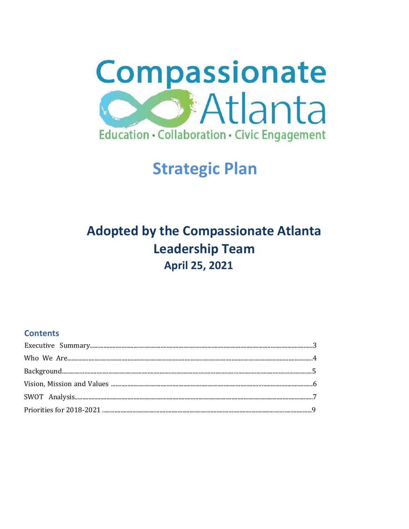

# **Strategic Plan**

## **Adopted by the Compassionate Atlanta Leadership Team April 25, 2021**

## **Contents**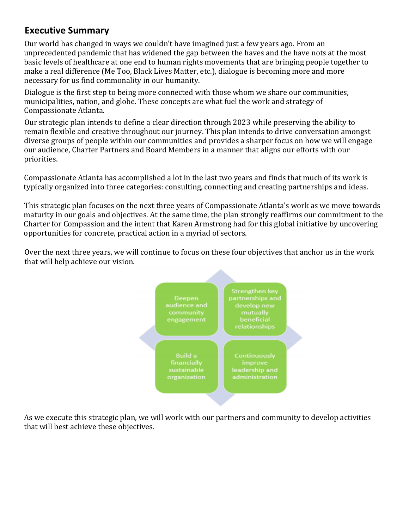## **Executive Summary**

Our world has changed in ways we couldn't have imagined just a few years ago. From an unprecedented pandemic that has widened the gap between the haves and the have nots at the most basic levels of healthcare at one end to human rights movements that are bringing people together to make a real difference (Me Too, Black Lives Matter, etc.), dialogue is becoming more and more necessary for us find commonality in our humanity.

Dialogue is the first step to being more connected with those whom we share our communities, municipalities, nation, and globe. These concepts are what fuel the work and strategy of Compassionate Atlanta.

Our strategic plan intends to define a clear direction through 2023 while preserving the ability to remain flexible and creative throughout our journey. This plan intends to drive conversation amongst diverse groups of people within our communities and provides a sharper focus on how we will engage our audience, Charter Partners and Board Members in a manner that aligns our efforts with our priorities.

Compassionate Atlanta has accomplished a lot in the last two years and finds that much of its work is typically organized into three categories: consulting, connecting and creating partnerships and ideas.

This strategic plan focuses on the next three years of Compassionate Atlanta's work as we move towards maturity in our goals and objectives. At the same time, the plan strongly reaffirms our commitment to the Charter for Compassion and the intent that Karen Armstrong had for this global initiative by uncovering opportunities for concrete, practical action in a myriad of sectors.

Over the next three years, we will continue to focus on these four objectives that anchor us in the work that will help achieve our vision.



As we execute this strategic plan, we will work with our partners and community to develop activities that will best achieve these objectives.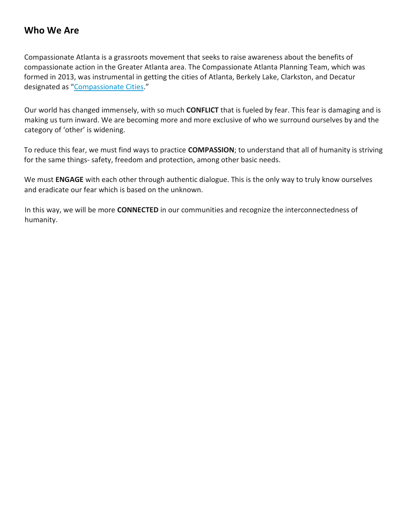## **Who We Are**

Compassionate Atlanta is a grassroots movement that seeks to raise awareness about the benefits of compassionate action in the Greater Atlanta area. The Compassionate Atlanta Planning Team, which was formed in 2013, was instrumental in getting the cities of Atlanta, Berkely Lake, Clarkston, and Decatur designated as "Compassionate Cities."

Our world has changed immensely, with so much **CONFLICT** that is fueled by fear. This fear is damaging and is making us turn inward. We are becoming more and more exclusive of who we surround ourselves by and the category of 'other' is widening.

To reduce this fear, we must find ways to practice **COMPASSION**; to understand that all of humanity is striving for the same things- safety, freedom and protection, among other basic needs.

We must **ENGAGE** with each other through authentic dialogue. This is the only way to truly know ourselves and eradicate our fear which is based on the unknown.

In this way, we will be more **CONNECTED** in our communities and recognize the interconnectedness of humanity.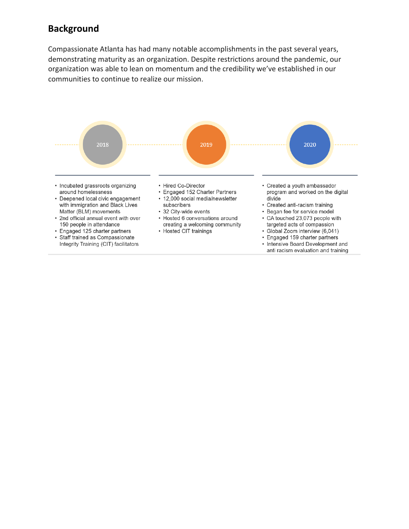## **Background**

Compassionate Atlanta has had many notable accomplishments in the past several years, demonstrating maturity as an organization. Despite restrictions around the pandemic, our organization was able to lean on momentum and the credibility we've established in our communities to continue to realize our mission.

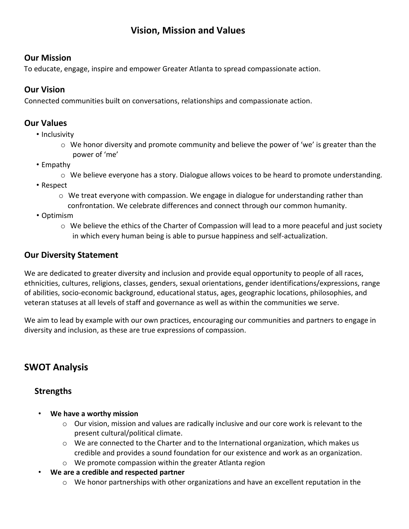## **Vision, Mission and Values**

#### **Our Mission**

To educate, engage, inspire and empower Greater Atlanta to spread compassionate action.

#### **Our Vision**

Connected communities built on conversations, relationships and compassionate action.

#### **Our Values**

- Inclusivity
	- $\circ$  We honor diversity and promote community and believe the power of 'we' is greater than the power of 'me'
- Empathy
	- $\circ$  We believe everyone has a story. Dialogue allows voices to be heard to promote understanding.
- Respect
	- $\circ$  We treat everyone with compassion. We engage in dialogue for understanding rather than confrontation. We celebrate differences and connect through our common humanity.
- Optimism
	- o We believe the ethics of the Charter of Compassion will lead to a more peaceful and just society in which every human being is able to pursue happiness and self-actualization.

## **Our Diversity Statement**

We are dedicated to greater diversity and inclusion and provide equal opportunity to people of all races, ethnicities, cultures, religions, classes, genders, sexual orientations, gender identifications/expressions, range of abilities, socio-economic background, educational status, ages, geographic locations, philosophies, and veteran statuses at all levels of staff and governance as well as within the communities we serve.

We aim to lead by example with our own practices, encouraging our communities and partners to engage in diversity and inclusion, as these are true expressions of compassion.

## **SWOT Analysis**

#### **Strengths**

- **We have a worthy mission**
	- $\circ$  Our vision, mission and values are radically inclusive and our core work is relevant to the present cultural/political climate.
	- o We are connected to the Charter and to the International organization, which makes us credible and provides a sound foundation for our existence and work as an organization.
	- o We promote compassion within the greater Atlanta region
- **We are a credible and respected partner**
	- $\circ$  We honor partnerships with other organizations and have an excellent reputation in the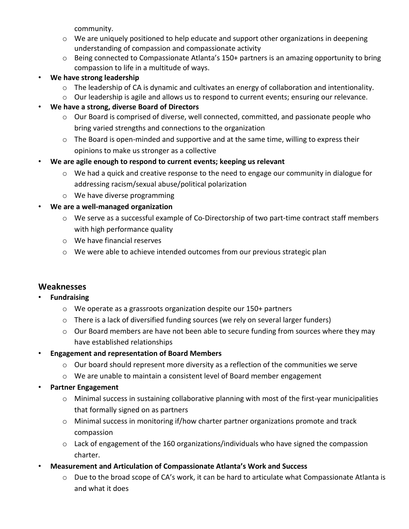community.

- $\circ$  We are uniquely positioned to help educate and support other organizations in deepening understanding of compassion and compassionate activity
- $\circ$  Being connected to Compassionate Atlanta's 150+ partners is an amazing opportunity to bring compassion to life in a multitude of ways.

#### • **We have strong leadership**

- $\circ$  The leadership of CA is dynamic and cultivates an energy of collaboration and intentionality.
- o Our leadership is agile and allows us to respond to current events; ensuring our relevance.

#### • **We have a strong, diverse Board of Directors**

- o Our Board is comprised of diverse, well connected, committed, and passionate people who bring varied strengths and connections to the organization
- o The Board is open-minded and supportive and at the same time, willing to express their opinions to make us stronger as a collective
- **We are agile enough to respond to current events; keeping us relevant**
	- $\circ$  We had a quick and creative response to the need to engage our community in dialogue for addressing racism/sexual abuse/political polarization
	- o We have diverse programming

#### • **We are a well-managed organization**

- $\circ$  We serve as a successful example of Co-Directorship of two part-time contract staff members with high performance quality
- o We have financial reserves
- $\circ$  We were able to achieve intended outcomes from our previous strategic plan

#### **Weaknesses**

#### • **Fundraising**

- o We operate as a grassroots organization despite our 150+ partners
- $\circ$  There is a lack of diversified funding sources (we rely on several larger funders)
- $\circ$  Our Board members are have not been able to secure funding from sources where they may have established relationships

#### • **Engagement and representation of Board Members**

- $\circ$  Our board should represent more diversity as a reflection of the communities we serve
- $\circ$  We are unable to maintain a consistent level of Board member engagement

#### • **Partner Engagement**

- $\circ$  Minimal success in sustaining collaborative planning with most of the first-year municipalities that formally signed on as partners
- o Minimal success in monitoring if/how charter partner organizations promote and track compassion
- o Lack of engagement of the 160 organizations/individuals who have signed the compassion charter.
- **Measurement and Articulation of Compassionate Atlanta's Work and Success**
	- o Due to the broad scope of CA's work, it can be hard to articulate what Compassionate Atlanta is and what it does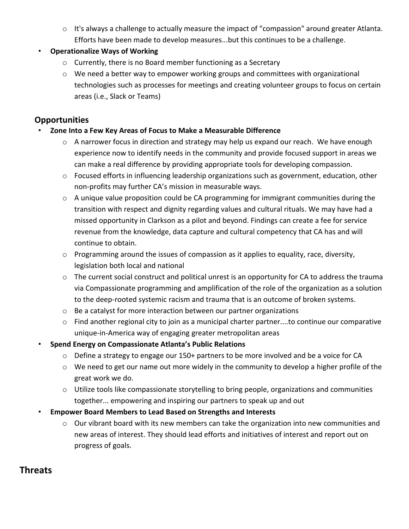- $\circ$  It's always a challenge to actually measure the impact of "compassion" around greater Atlanta. Efforts have been made to develop measures...but this continues to be a challenge.
- **Operationalize Ways of Working**
	- o Currently, there is no Board member functioning as a Secretary
	- o We need a better way to empower working groups and committees with organizational technologies such as processes for meetings and creating volunteer groups to focus on certain areas (i.e., Slack or Teams)

## **Opportunities**

- **Zone Into a Few Key Areas of Focus to Make a Measurable Difference**
	- o A narrower focus in direction and strategy may help us expand our reach. We have enough experience now to identify needs in the community and provide focused support in areas we can make a real difference by providing appropriate tools for developing compassion.
	- o Focused efforts in influencing leadership organizations such as government, education, other non-profits may further CA's mission in measurable ways.
	- o A unique value proposition could be CA programming for immigrant communities during the transition with respect and dignity regarding values and cultural rituals. We may have had a missed opportunity in Clarkson as a pilot and beyond. Findings can create a fee for service revenue from the knowledge, data capture and cultural competency that CA has and will continue to obtain.
	- o Programming around the issues of compassion as it applies to equality, race, diversity, legislation both local and national
	- o The current social construct and political unrest is an opportunity for CA to address the trauma via Compassionate programming and amplification of the role of the organization as a solution to the deep-rooted systemic racism and trauma that is an outcome of broken systems.
	- o Be a catalyst for more interaction between our partner organizations
	- $\circ$  Find another regional city to join as a municipal charter partner....to continue our comparative unique-in-America way of engaging greater metropolitan areas
- **Spend Energy on Compassionate Atlanta's Public Relations**
	- $\circ$  Define a strategy to engage our 150+ partners to be more involved and be a voice for CA
	- o We need to get our name out more widely in the community to develop a higher profile of the great work we do.
	- o Utilize tools like compassionate storytelling to bring people, organizations and communities together... empowering and inspiring our partners to speak up and out
- **Empower Board Members to Lead Based on Strengths and Interests**
	- o Our vibrant board with its new members can take the organization into new communities and new areas of interest. They should lead efforts and initiatives of interest and report out on progress of goals.

## **Threats**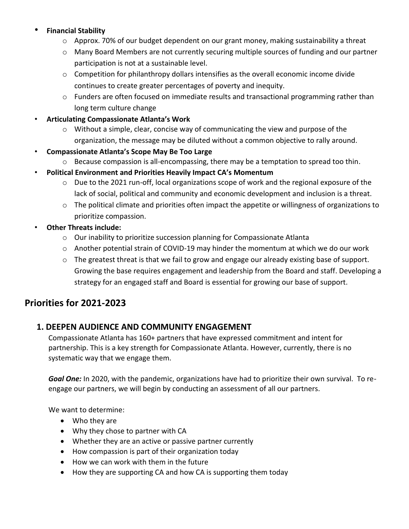#### • **Financial Stability**

- o Approx. 70% of our budget dependent on our grant money, making sustainability a threat
- o Many Board Members are not currently securing multiple sources of funding and our partner participation is not at a sustainable level.
- $\circ$  Competition for philanthropy dollars intensifies as the overall economic income divide continues to create greater percentages of poverty and inequity.
- $\circ$  Funders are often focused on immediate results and transactional programming rather than long term culture change
- **Articulating Compassionate Atlanta's Work** 
	- $\circ$  Without a simple, clear, concise way of communicating the view and purpose of the organization, the message may be diluted without a common objective to rally around.
- **Compassionate Atlanta's Scope May Be Too Large**
	- o Because compassion is all-encompassing, there may be a temptation to spread too thin.
- **Political Environment and Priorities Heavily Impact CA's Momentum**
	- $\circ$  Due to the 2021 run-off, local organizations scope of work and the regional exposure of the lack of social, political and community and economic development and inclusion is a threat.
	- $\circ$  The political climate and priorities often impact the appetite or willingness of organizations to prioritize compassion.
- **Other Threats include:** 
	- o Our inability to prioritize succession planning for Compassionate Atlanta
	- $\circ$  Another potential strain of COVID-19 may hinder the momentum at which we do our work
	- $\circ$  The greatest threat is that we fail to grow and engage our already existing base of support. Growing the base requires engagement and leadership from the Board and staff. Developing a strategy for an engaged staff and Board is essential for growing our base of support.

## **Priorities for 2021-2023**

## **1. DEEPEN AUDIENCE AND COMMUNITY ENGAGEMENT**

Compassionate Atlanta has 160+ partners that have expressed commitment and intent for partnership. This is a key strength for Compassionate Atlanta. However, currently, there is no systematic way that we engage them.

*Goal One:* In 2020, with the pandemic, organizations have had to prioritize their own survival. To reengage our partners, we will begin by conducting an assessment of all our partners.

We want to determine:

- Who they are
- Why they chose to partner with CA
- Whether they are an active or passive partner currently
- How compassion is part of their organization today
- How we can work with them in the future
- How they are supporting CA and how CA is supporting them today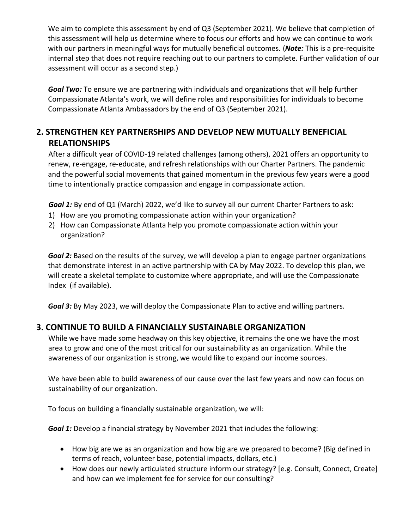We aim to complete this assessment by end of Q3 (September 2021). We believe that completion of this assessment will help us determine where to focus our efforts and how we can continue to work with our partners in meaningful ways for mutually beneficial outcomes. (*Note:* This is a pre-requisite internal step that does not require reaching out to our partners to complete. Further validation of our assessment will occur as a second step.)

*Goal Two:* To ensure we are partnering with individuals and organizations that will help further Compassionate Atlanta's work, we will define roles and responsibilities for individuals to become Compassionate Atlanta Ambassadors by the end of Q3 (September 2021).

## **2. STRENGTHEN KEY PARTNERSHIPS AND DEVELOP NEW MUTUALLY BENEFICIAL RELATIONSHIPS**

After a difficult year of COVID-19 related challenges (among others), 2021 offers an opportunity to renew, re-engage, re-educate, and refresh relationships with our Charter Partners. The pandemic and the powerful social movements that gained momentum in the previous few years were a good time to intentionally practice compassion and engage in compassionate action.

*Goal 1:* By end of Q1 (March) 2022, we'd like to survey all our current Charter Partners to ask:

- 1) How are you promoting compassionate action within your organization?
- 2) How can Compassionate Atlanta help you promote compassionate action within your organization?

*Goal 2:* Based on the results of the survey, we will develop a plan to engage partner organizations that demonstrate interest in an active partnership with CA by May 2022. To develop this plan, we will create a skeletal template to customize where appropriate, and will use the Compassionate Index (if available).

*Goal 3:* By May 2023, we will deploy the Compassionate Plan to active and willing partners.

#### **3. CONTINUE TO BUILD A FINANCIALLY SUSTAINABLE ORGANIZATION**

While we have made some headway on this key objective, it remains the one we have the most area to grow and one of the most critical for our sustainability as an organization. While the awareness of our organization is strong, we would like to expand our income sources.

We have been able to build awareness of our cause over the last few years and now can focus on sustainability of our organization.

To focus on building a financially sustainable organization, we will:

*Goal 1:* Develop a financial strategy by November 2021 that includes the following:

- How big are we as an organization and how big are we prepared to become? (Big defined in terms of reach, volunteer base, potential impacts, dollars, etc.)
- How does our newly articulated structure inform our strategy? [e.g. Consult, Connect, Create] and how can we implement fee for service for our consulting?